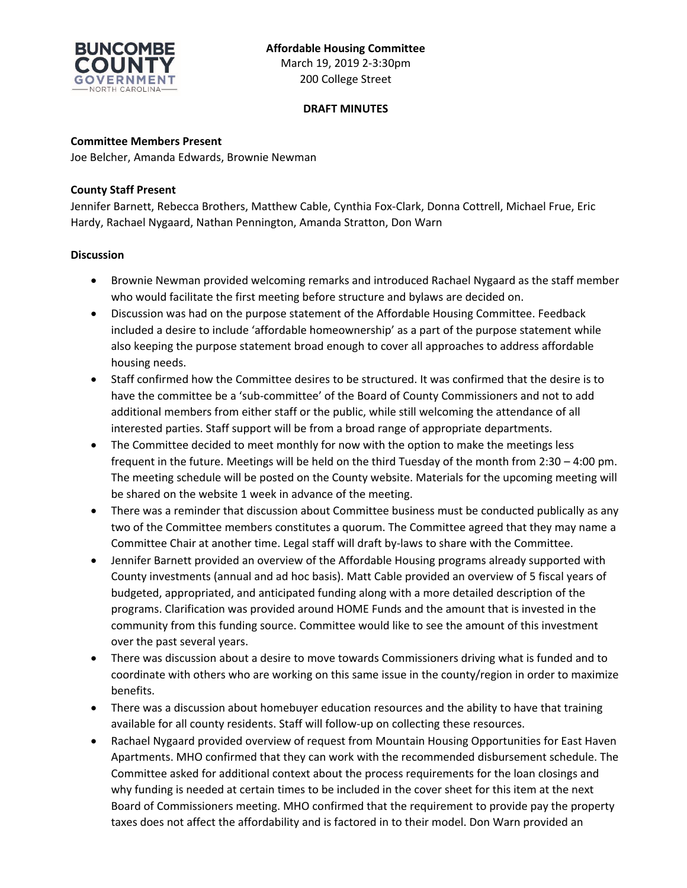

March 19, 2019 2-3:30pm 200 College Street

## **DRAFT MINUTES**

**Committee Members Present**

Joe Belcher, Amanda Edwards, Brownie Newman

## **County Staff Present**

Jennifer Barnett, Rebecca Brothers, Matthew Cable, Cynthia Fox-Clark, Donna Cottrell, Michael Frue, Eric Hardy, Rachael Nygaard, Nathan Pennington, Amanda Stratton, Don Warn

## **Discussion**

- Brownie Newman provided welcoming remarks and introduced Rachael Nygaard as the staff member who would facilitate the first meeting before structure and bylaws are decided on.
- Discussion was had on the purpose statement of the Affordable Housing Committee. Feedback included a desire to include 'affordable homeownership' as a part of the purpose statement while also keeping the purpose statement broad enough to cover all approaches to address affordable housing needs.
- Staff confirmed how the Committee desires to be structured. It was confirmed that the desire is to have the committee be a 'sub-committee' of the Board of County Commissioners and not to add additional members from either staff or the public, while still welcoming the attendance of all interested parties. Staff support will be from a broad range of appropriate departments.
- The Committee decided to meet monthly for now with the option to make the meetings less frequent in the future. Meetings will be held on the third Tuesday of the month from 2:30 – 4:00 pm. The meeting schedule will be posted on the County website. Materials for the upcoming meeting will be shared on the website 1 week in advance of the meeting.
- There was a reminder that discussion about Committee business must be conducted publically as any two of the Committee members constitutes a quorum. The Committee agreed that they may name a Committee Chair at another time. Legal staff will draft by-laws to share with the Committee.
- Jennifer Barnett provided an overview of the Affordable Housing programs already supported with County investments (annual and ad hoc basis). Matt Cable provided an overview of 5 fiscal years of budgeted, appropriated, and anticipated funding along with a more detailed description of the programs. Clarification was provided around HOME Funds and the amount that is invested in the community from this funding source. Committee would like to see the amount of this investment over the past several years.
- There was discussion about a desire to move towards Commissioners driving what is funded and to coordinate with others who are working on this same issue in the county/region in order to maximize benefits.
- There was a discussion about homebuyer education resources and the ability to have that training available for all county residents. Staff will follow-up on collecting these resources.
- Rachael Nygaard provided overview of request from Mountain Housing Opportunities for East Haven Apartments. MHO confirmed that they can work with the recommended disbursement schedule. The Committee asked for additional context about the process requirements for the loan closings and why funding is needed at certain times to be included in the cover sheet for this item at the next Board of Commissioners meeting. MHO confirmed that the requirement to provide pay the property taxes does not affect the affordability and is factored in to their model. Don Warn provided an